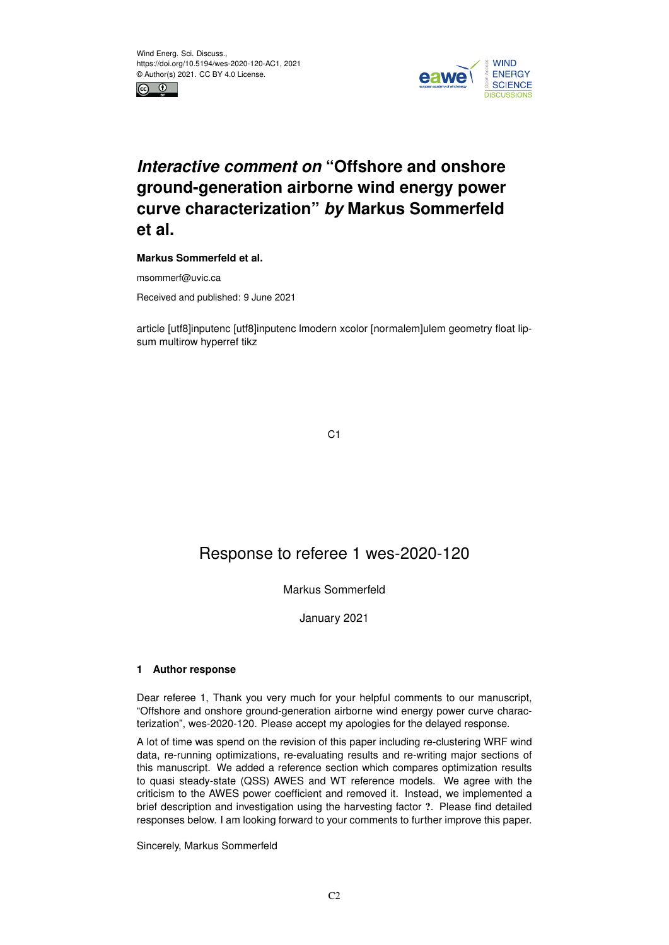



# *Interactive comment on* **"Offshore and onshore ground-generation airborne wind energy power curve characterization"** *by* **Markus Sommerfeld et al.**

**Markus Sommerfeld et al.**

msommerf@uvic.ca

Received and published: 9 June 2021

article [utf8]inputenc [utf8]inputenc lmodern xcolor [normalem]ulem geometry float lipsum multirow hyperref tikz

C1

# Response to referee 1 wes-2020-120

# Markus Sommerfeld

January 2021

# **1 Author response**

Dear referee 1, Thank you very much for your helpful comments to our manuscript, "Offshore and onshore ground-generation airborne wind energy power curve characterization", wes-2020-120. Please accept my apologies for the delayed response.

A lot of time was spend on the revision of this paper including re-clustering WRF wind data, re-running optimizations, re-evaluating results and re-writing major sections of this manuscript. We added a reference section which compares optimization results to quasi steady-state (QSS) AWES and WT reference models. We agree with the criticism to the AWES power coefficient and removed it. Instead, we implemented a brief description and investigation using the harvesting factor ?. Please find detailed responses below. I am looking forward to your comments to further improve this paper.

#### Sincerely, Markus Sommerfeld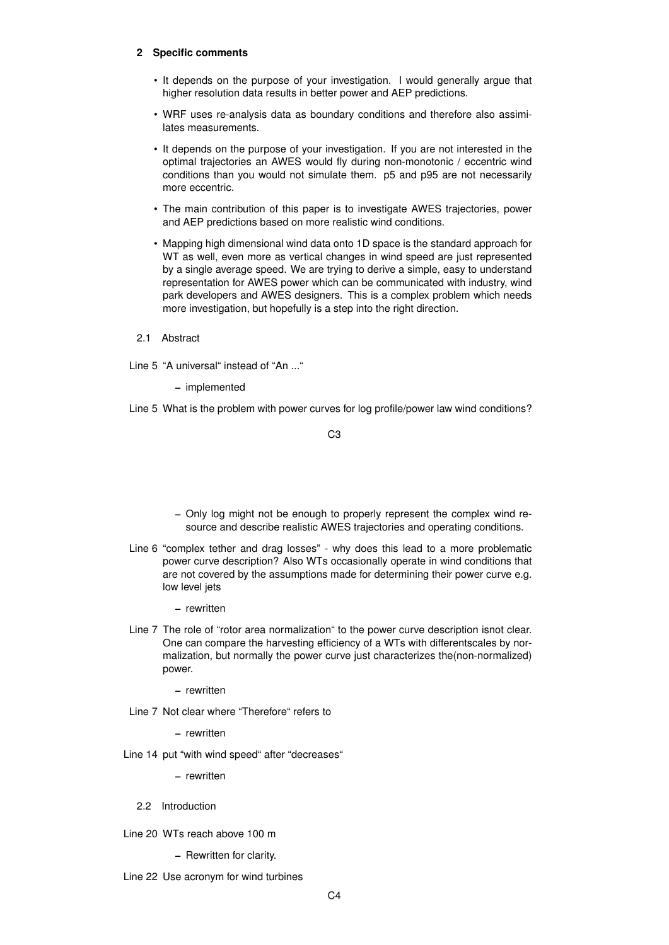### **2 Specific comments**

- It depends on the purpose of your investigation. I would generally argue that higher resolution data results in better power and AEP predictions.
- WRF uses re-analysis data as boundary conditions and therefore also assimilates measurements.
- It depends on the purpose of your investigation. If you are not interested in the optimal trajectories an AWES would fly during non-monotonic / eccentric wind conditions than you would not simulate them. p5 and p95 are not necessarily more eccentric.
- The main contribution of this paper is to investigate AWES trajectories, power and AEP predictions based on more realistic wind conditions.
- Mapping high dimensional wind data onto 1D space is the standard approach for WT as well, even more as vertical changes in wind speed are just represented by a single average speed. We are trying to derive a simple, easy to understand representation for AWES power which can be communicated with industry, wind park developers and AWES designers. This is a complex problem which needs more investigation, but hopefully is a step into the right direction.
- 2.1 Abstract

Line 5 "A universal" instead of "An ..."

– implemented

Line 5 What is the problem with power curves for log profile/power law wind conditions?

C3

- Only log might not be enough to properly represent the complex wind resource and describe realistic AWES trajectories and operating conditions.
- Line 6 "complex tether and drag losses" why does this lead to a more problematic power curve description? Also WTs occasionally operate in wind conditions that are not covered by the assumptions made for determining their power curve e.g. low level jets
	- rewritten
- Line 7 The role of "rotor area normalization" to the power curve description isnot clear. One can compare the harvesting efficiency of a WTs with differentscales by normalization, but normally the power curve just characterizes the(non-normalized) power.
	- rewritten
- Line 7 Not clear where "Therefore" refers to

– rewritten

Line 14 put "with wind speed" after "decreases"

– rewritten

- 2.2 Introduction
- Line 20 WTs reach above 100 m
	- Rewritten for clarity.
- Line 22 Use acronym for wind turbines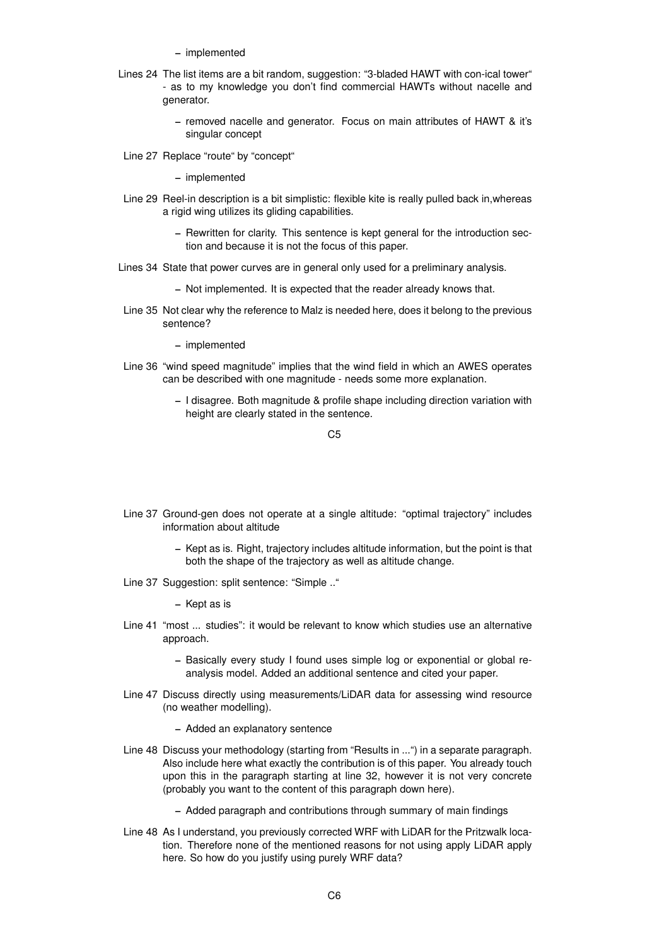- implemented
- Lines 24 The list items are a bit random, suggestion: "3-bladed HAWT with con-ical tower" - as to my knowledge you don't find commercial HAWTs without nacelle and generator.
	- removed nacelle and generator. Focus on main attributes of HAWT & it's singular concept
- Line 27 Replace "route" by "concept"

- Line 29 Reel-in description is a bit simplistic: flexible kite is really pulled back in,whereas a rigid wing utilizes its gliding capabilities.
	- Rewritten for clarity. This sentence is kept general for the introduction section and because it is not the focus of this paper.
- Lines 34 State that power curves are in general only used for a preliminary analysis.
	- Not implemented. It is expected that the reader already knows that.
- Line 35 Not clear why the reference to Malz is needed here, does it belong to the previous sentence?

– implemented

- Line 36 "wind speed magnitude" implies that the wind field in which an AWES operates can be described with one magnitude - needs some more explanation.
	- I disagree. Both magnitude & profile shape including direction variation with height are clearly stated in the sentence.

 $C<sub>5</sub>$ 

- Line 37 Ground-gen does not operate at a single altitude: "optimal trajectory" includes information about altitude
	- Kept as is. Right, trajectory includes altitude information, but the point is that both the shape of the trajectory as well as altitude change.
- Line 37 Suggestion: split sentence: "Simple .."

– Kept as is

- Line 41 "most ... studies": it would be relevant to know which studies use an alternative approach.
	- Basically every study I found uses simple log or exponential or global reanalysis model. Added an additional sentence and cited your paper.
- Line 47 Discuss directly using measurements/LiDAR data for assessing wind resource (no weather modelling).
	- Added an explanatory sentence
- Line 48 Discuss your methodology (starting from "Results in ...") in a separate paragraph. Also include here what exactly the contribution is of this paper. You already touch upon this in the paragraph starting at line 32, however it is not very concrete (probably you want to the content of this paragraph down here).
	- Added paragraph and contributions through summary of main findings
- Line 48 As I understand, you previously corrected WRF with LiDAR for the Pritzwalk location. Therefore none of the mentioned reasons for not using apply LiDAR apply here. So how do you justify using purely WRF data?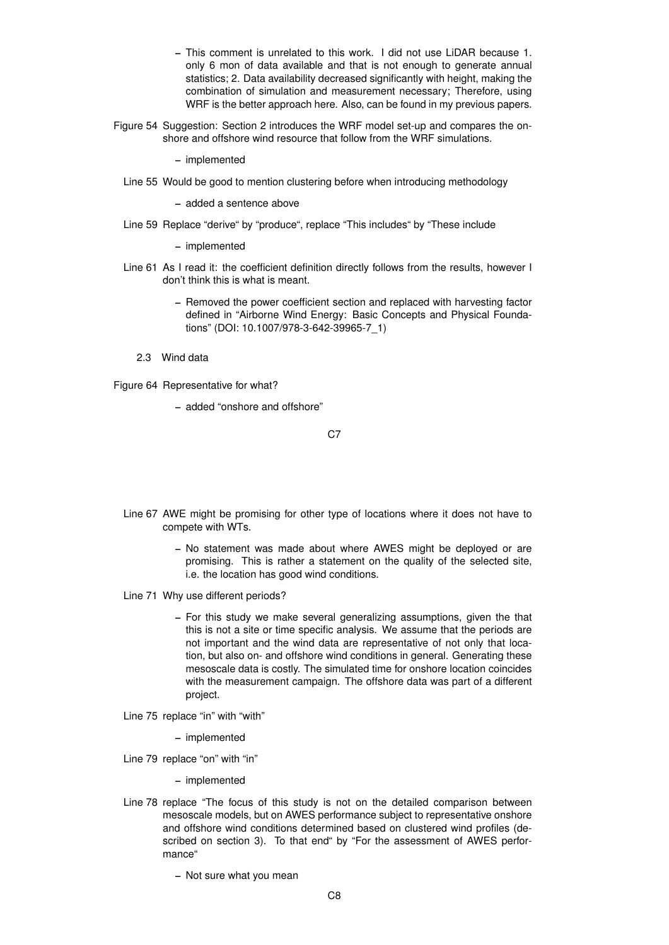- This comment is unrelated to this work. I did not use LiDAR because 1. only 6 mon of data available and that is not enough to generate annual statistics; 2. Data availability decreased significantly with height, making the combination of simulation and measurement necessary; Therefore, using WRF is the better approach here. Also, can be found in my previous papers.
- Figure 54 Suggestion: Section 2 introduces the WRF model set-up and compares the onshore and offshore wind resource that follow from the WRF simulations.

Line 55 Would be good to mention clustering before when introducing methodology

– added a sentence above

Line 59 Replace "derive" by "produce", replace "This includes" by "These include

– implemented

- Line 61 As I read it: the coefficient definition directly follows from the results, however I don't think this is what is meant.
	- Removed the power coefficient section and replaced with harvesting factor defined in "Airborne Wind Energy: Basic Concepts and Physical Foundations" (DOI: 10.1007/978-3-642-39965-7\_1)
	- 2.3 Wind data

Figure 64 Representative for what?

– added "onshore and offshore"

C<sub>7</sub>

- Line 67 AWE might be promising for other type of locations where it does not have to compete with WTs.
	- No statement was made about where AWES might be deployed or are promising. This is rather a statement on the quality of the selected site, i.e. the location has good wind conditions.
- Line 71 Why use different periods?
	- For this study we make several generalizing assumptions, given the that this is not a site or time specific analysis. We assume that the periods are not important and the wind data are representative of not only that location, but also on- and offshore wind conditions in general. Generating these mesoscale data is costly. The simulated time for onshore location coincides with the measurement campaign. The offshore data was part of a different project.
- Line 75 replace "in" with "with"

– implemented

Line 79 replace "on" with "in"

– implemented

Line 78 replace "The focus of this study is not on the detailed comparison between mesoscale models, but on AWES performance subject to representative onshore and offshore wind conditions determined based on clustered wind profiles (described on section 3). To that end" by "For the assessment of AWES performance"

– Not sure what you mean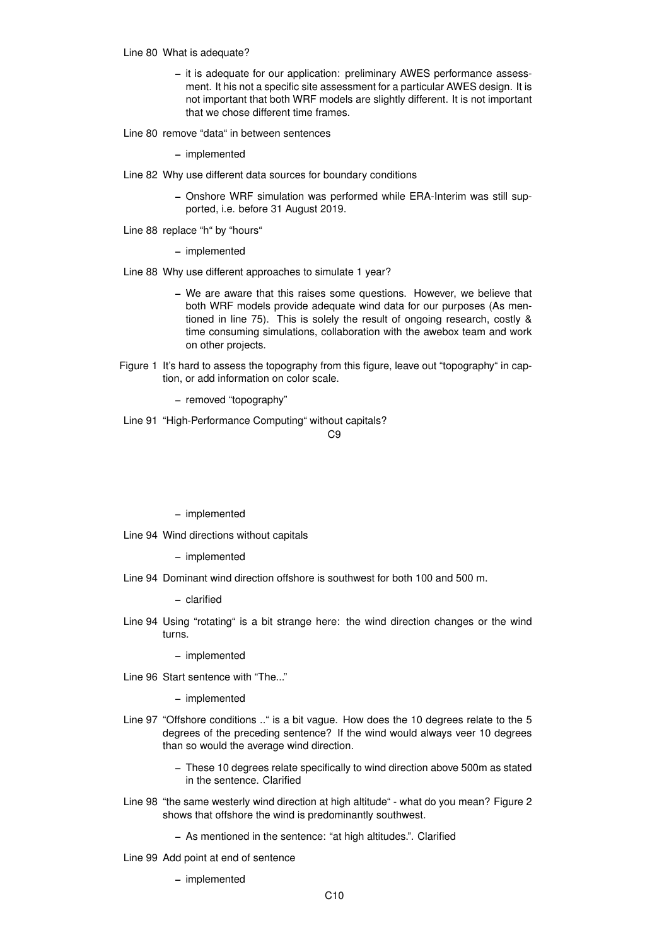Line 80 What is adequate?

- it is adequate for our application: preliminary AWES performance assessment. It his not a specific site assessment for a particular AWES design. It is not important that both WRF models are slightly different. It is not important that we chose different time frames.
- Line 80 remove "data" in between sentences

– implemented

- Line 82 Why use different data sources for boundary conditions
	- Onshore WRF simulation was performed while ERA-Interim was still supported, i.e. before 31 August 2019.
- Line 88 replace "h" by "hours"
	- implemented
- Line 88 Why use different approaches to simulate 1 year?
	- We are aware that this raises some questions. However, we believe that both WRF models provide adequate wind data for our purposes (As mentioned in line 75). This is solely the result of ongoing research, costly & time consuming simulations, collaboration with the awebox team and work on other projects.
- Figure 1 It's hard to assess the topography from this figure, leave out "topography" in caption, or add information on color scale.
	- removed "topography"
- Line 91 "High-Performance Computing" without capitals?

 $C<sub>9</sub>$ 

– implemented

Line 94 Wind directions without capitals

– implemented

Line 94 Dominant wind direction offshore is southwest for both 100 and 500 m.

– clarified

Line 94 Using "rotating" is a bit strange here: the wind direction changes or the wind turns.

– implemented

Line 96 Start sentence with "The..."

- Line 97 "Offshore conditions .." is a bit vague. How does the 10 degrees relate to the 5 degrees of the preceding sentence? If the wind would always veer 10 degrees than so would the average wind direction.
	- These 10 degrees relate specifically to wind direction above 500m as stated in the sentence. Clarified
- Line 98 "the same westerly wind direction at high altitude" what do you mean? Figure 2 shows that offshore the wind is predominantly southwest.
	- As mentioned in the sentence: "at high altitudes.". Clarified
- Line 99 Add point at end of sentence
	- implemented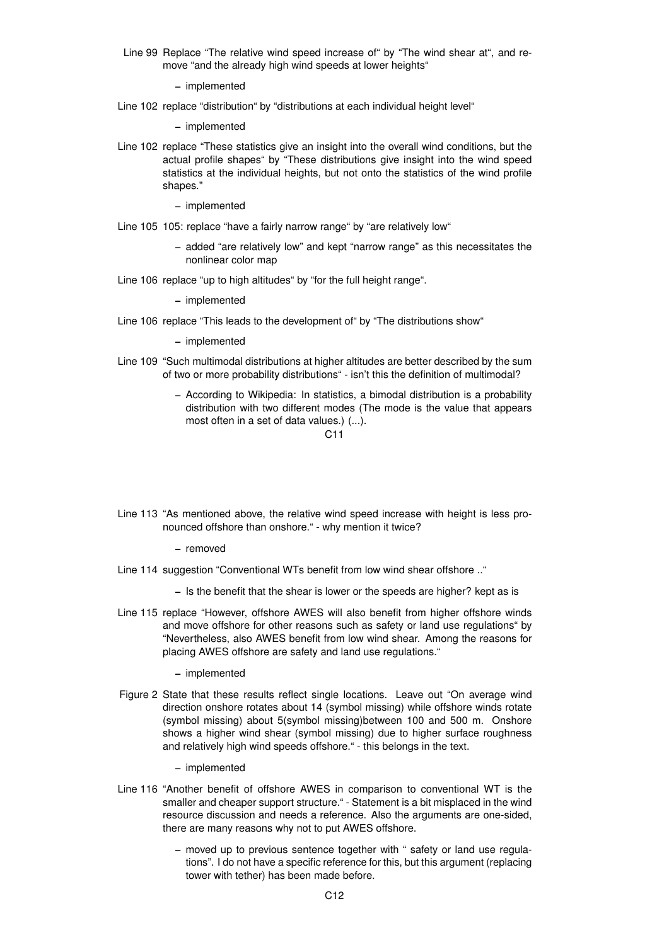Line 99 Replace "The relative wind speed increase of" by "The wind shear at", and remove "and the already high wind speeds at lower heights"

– implemented

Line 102 replace "distribution" by "distributions at each individual height level"

– implemented

- Line 102 replace "These statistics give an insight into the overall wind conditions, but the actual profile shapes" by "These distributions give insight into the wind speed statistics at the individual heights, but not onto the statistics of the wind profile shapes."
	- implemented
- Line 105 105: replace "have a fairly narrow range" by "are relatively low"
	- added "are relatively low" and kept "narrow range" as this necessitates the nonlinear color map
- Line 106 replace "up to high altitudes" by "for the full height range".

– implemented

Line 106 replace "This leads to the development of" by "The distributions show"

– implemented

- Line 109 "Such multimodal distributions at higher altitudes are better described by the sum of two or more probability distributions" - isn't this the definition of multimodal?
	- According to Wikipedia: In statistics, a bimodal distribution is a probability distribution with two different modes (The mode is the value that appears most often in a set of data values.) (...).

#### $C<sub>11</sub>$

Line 113 "As mentioned above, the relative wind speed increase with height is less pronounced offshore than onshore." - why mention it twice?

– removed

- Line 114 suggestion "Conventional WTs benefit from low wind shear offshore .."
	- Is the benefit that the shear is lower or the speeds are higher? kept as is
- Line 115 replace "However, offshore AWES will also benefit from higher offshore winds and move offshore for other reasons such as safety or land use regulations" by "Nevertheless, also AWES benefit from low wind shear. Among the reasons for placing AWES offshore are safety and land use regulations."

– implemented

Figure 2 State that these results reflect single locations. Leave out "On average wind direction onshore rotates about 14 (symbol missing) while offshore winds rotate (symbol missing) about 5(symbol missing)between 100 and 500 m. Onshore shows a higher wind shear (symbol missing) due to higher surface roughness and relatively high wind speeds offshore." - this belongs in the text.

- Line 116 "Another benefit of offshore AWES in comparison to conventional WT is the smaller and cheaper support structure." - Statement is a bit misplaced in the wind resource discussion and needs a reference. Also the arguments are one-sided, there are many reasons why not to put AWES offshore.
	- moved up to previous sentence together with " safety or land use regulations". I do not have a specific reference for this, but this argument (replacing tower with tether) has been made before.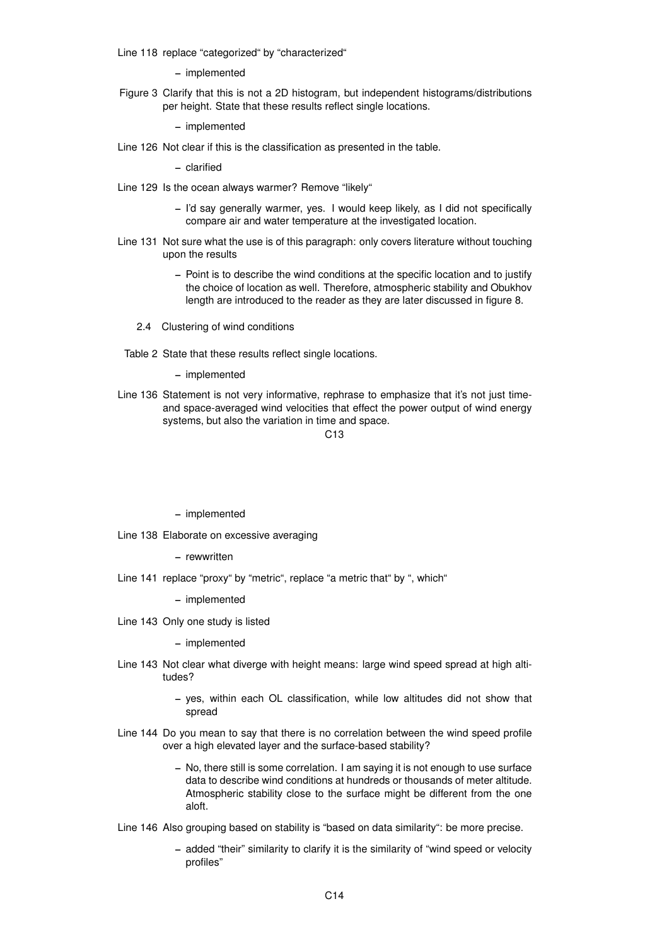Line 118 replace "categorized" by "characterized"

– implemented

Figure 3 Clarify that this is not a 2D histogram, but independent histograms/distributions per height. State that these results reflect single locations.

– implemented

Line 126 Not clear if this is the classification as presented in the table.

– clarified

- Line 129 Is the ocean always warmer? Remove "likely"
	- I'd say generally warmer, yes. I would keep likely, as I did not specifically compare air and water temperature at the investigated location.
- Line 131 Not sure what the use is of this paragraph: only covers literature without touching upon the results
	- Point is to describe the wind conditions at the specific location and to justify the choice of location as well. Therefore, atmospheric stability and Obukhov length are introduced to the reader as they are later discussed in figure 8.
	- 2.4 Clustering of wind conditions
- Table 2 State that these results reflect single locations.

– implemented

Line 136 Statement is not very informative, rephrase to emphasize that it's not just timeand space-averaged wind velocities that effect the power output of wind energy systems, but also the variation in time and space.

 $C<sub>13</sub>$ 

– implemented

- Line 138 Elaborate on excessive averaging
	- rewwritten
- Line 141 replace "proxy" by "metric", replace "a metric that" by ", which"

– implemented

Line 143 Only one study is listed

- Line 143 Not clear what diverge with height means: large wind speed spread at high altitudes?
	- yes, within each OL classification, while low altitudes did not show that spread
- Line 144 Do you mean to say that there is no correlation between the wind speed profile over a high elevated layer and the surface-based stability?
	- No, there still is some correlation. I am saying it is not enough to use surface data to describe wind conditions at hundreds or thousands of meter altitude. Atmospheric stability close to the surface might be different from the one aloft.
- Line 146 Also grouping based on stability is "based on data similarity": be more precise.
	- added "their" similarity to clarify it is the similarity of "wind speed or velocity profiles"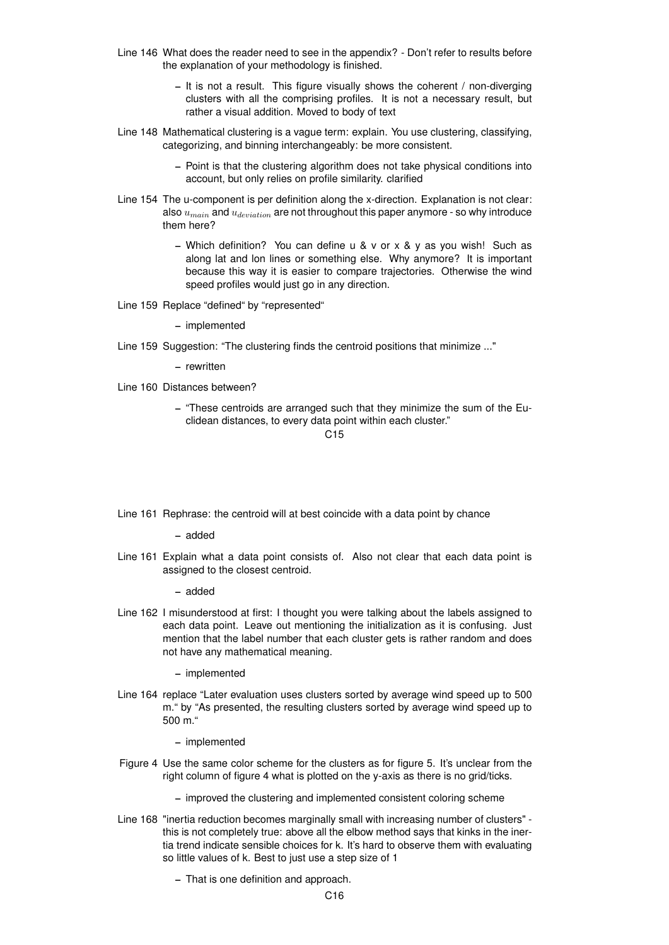- Line 146 What does the reader need to see in the appendix? Don't refer to results before the explanation of your methodology is finished.
	- It is not a result. This figure visually shows the coherent / non-diverging clusters with all the comprising profiles. It is not a necessary result, but rather a visual addition. Moved to body of text
- Line 148 Mathematical clustering is a vague term: explain. You use clustering, classifying, categorizing, and binning interchangeably: be more consistent.
	- Point is that the clustering algorithm does not take physical conditions into account, but only relies on profile similarity. clarified
- Line 154 The u-component is per definition along the x-direction. Explanation is not clear: also  $u_{main}$  and  $u_{deviation}$  are not throughout this paper anymore - so why introduce them here?
	- Which definition? You can define u & v or x & y as you wish! Such as along lat and lon lines or something else. Why anymore? It is important because this way it is easier to compare trajectories. Otherwise the wind speed profiles would just go in any direction.
- Line 159 Replace "defined" by "represented"

- Line 159 Suggestion: "The clustering finds the centroid positions that minimize ..."
	- rewritten
- Line 160 Distances between?
	- "These centroids are arranged such that they minimize the sum of the Euclidean distances, to every data point within each cluster."

 $C<sub>15</sub>$ 

Line 161 Rephrase: the centroid will at best coincide with a data point by chance

– added

Line 161 Explain what a data point consists of. Also not clear that each data point is assigned to the closest centroid.

– added

Line 162 I misunderstood at first: I thought you were talking about the labels assigned to each data point. Leave out mentioning the initialization as it is confusing. Just mention that the label number that each cluster gets is rather random and does not have any mathematical meaning.

– implemented

Line 164 replace "Later evaluation uses clusters sorted by average wind speed up to 500 m." by "As presented, the resulting clusters sorted by average wind speed up to 500 m."

– implemented

- Figure 4 Use the same color scheme for the clusters as for figure 5. It's unclear from the right column of figure 4 what is plotted on the y-axis as there is no grid/ticks.
	- improved the clustering and implemented consistent coloring scheme
- Line 168 "inertia reduction becomes marginally small with increasing number of clusters" this is not completely true: above all the elbow method says that kinks in the inertia trend indicate sensible choices for k. It's hard to observe them with evaluating so little values of k. Best to just use a step size of 1

– That is one definition and approach.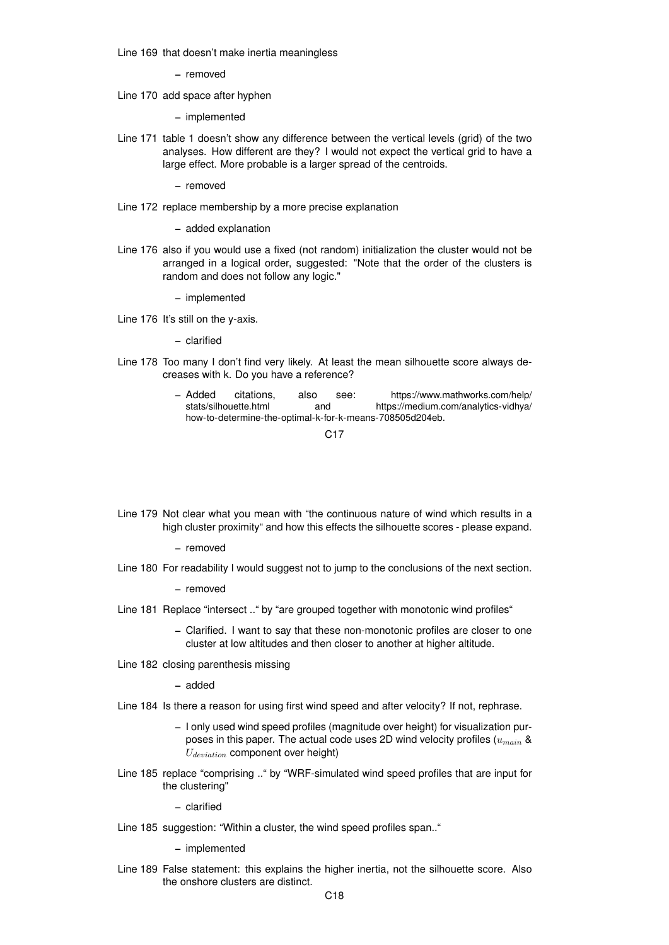Line 169 that doesn't make inertia meaningless

– removed

Line 170 add space after hyphen

– implemented

Line 171 table 1 doesn't show any difference between the vertical levels (grid) of the two analyses. How different are they? I would not expect the vertical grid to have a large effect. More probable is a larger spread of the centroids.

– removed

Line 172 replace membership by a more precise explanation

– added explanation

Line 176 also if you would use a fixed (not random) initialization the cluster would not be arranged in a logical order, suggested: "Note that the order of the clusters is random and does not follow any logic."

– implemented

Line 176 It's still on the y-axis.

– clarified

- Line 178 Too many I don't find very likely. At least the mean silhouette score always decreases with k. Do you have a reference?
	- Added citations, also see: https://www.mathworks.com/help/ stats/silhouette.html and https://medium.com/analytics-vidhya/ how-to-determine-the-optimal-k-for-k-means-708505d204eb.

C17

Line 179 Not clear what you mean with "the continuous nature of wind which results in a high cluster proximity" and how this effects the silhouette scores - please expand.

– removed

Line 180 For readability I would suggest not to jump to the conclusions of the next section.

– removed

- Line 181 Replace "intersect .." by "are grouped together with monotonic wind profiles"
	- Clarified. I want to say that these non-monotonic profiles are closer to one cluster at low altitudes and then closer to another at higher altitude.
- Line 182 closing parenthesis missing

– added

- Line 184 Is there a reason for using first wind speed and after velocity? If not, rephrase.
	- I only used wind speed profiles (magnitude over height) for visualization purposes in this paper. The actual code uses 2D wind velocity profiles  $(u_{main} \&$  $U_{deviation}$  component over height)
- Line 185 replace "comprising .." by "WRF-simulated wind speed profiles that are input for the clustering"

– clarified

Line 185 suggestion: "Within a cluster, the wind speed profiles span.."

– implemented

Line 189 False statement: this explains the higher inertia, not the silhouette score. Also the onshore clusters are distinct.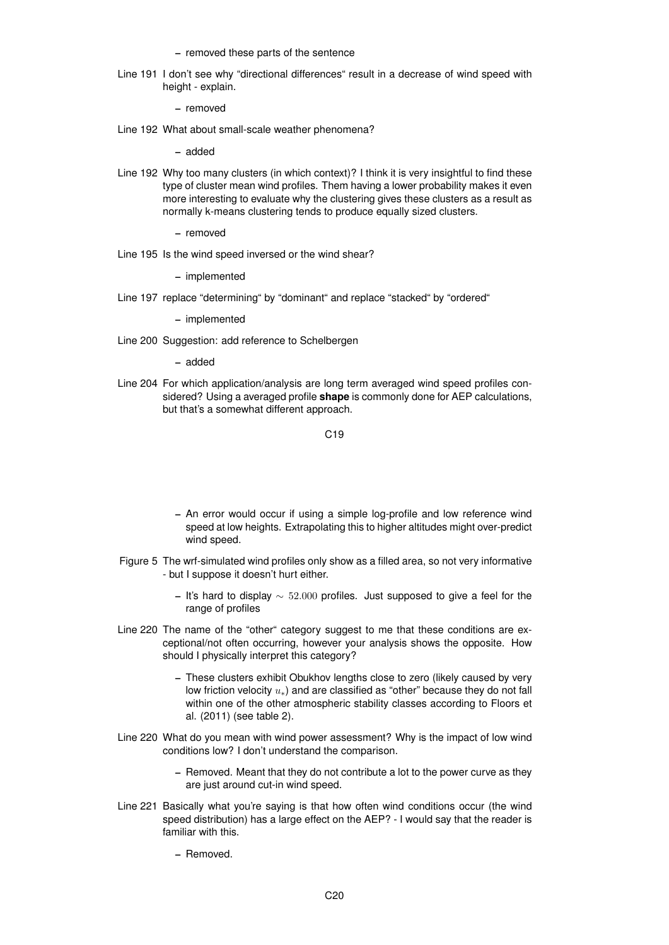– removed these parts of the sentence

Line 191 I don't see why "directional differences" result in a decrease of wind speed with height - explain.

– removed

Line 192 What about small-scale weather phenomena?

– added

Line 192 Why too many clusters (in which context)? I think it is very insightful to find these type of cluster mean wind profiles. Them having a lower probability makes it even more interesting to evaluate why the clustering gives these clusters as a result as normally k-means clustering tends to produce equally sized clusters.

– removed

Line 195 Is the wind speed inversed or the wind shear?

– implemented

Line 197 replace "determining" by "dominant" and replace "stacked" by "ordered"

– implemented

Line 200 Suggestion: add reference to Schelbergen

– added

Line 204 For which application/analysis are long term averaged wind speed profiles considered? Using a averaged profile **shape** is commonly done for AEP calculations, but that's a somewhat different approach.

C19

- An error would occur if using a simple log-profile and low reference wind speed at low heights. Extrapolating this to higher altitudes might over-predict wind speed.
- Figure 5 The wrf-simulated wind profiles only show as a filled area, so not very informative - but I suppose it doesn't hurt either.
	- It's hard to display  $\sim 52.000$  profiles. Just supposed to give a feel for the range of profiles
- Line 220 The name of the "other" category suggest to me that these conditions are exceptional/not often occurring, however your analysis shows the opposite. How should I physically interpret this category?
	- These clusters exhibit Obukhov lengths close to zero (likely caused by very low friction velocity  $u_*$ ) and are classified as "other" because they do not fall within one of the other atmospheric stability classes according to Floors et al. (2011) (see table 2).
- Line 220 What do you mean with wind power assessment? Why is the impact of low wind conditions low? I don't understand the comparison.
	- Removed. Meant that they do not contribute a lot to the power curve as they are just around cut-in wind speed.
- Line 221 Basically what you're saying is that how often wind conditions occur (the wind speed distribution) has a large effect on the AEP? - I would say that the reader is familiar with this.
	- Removed.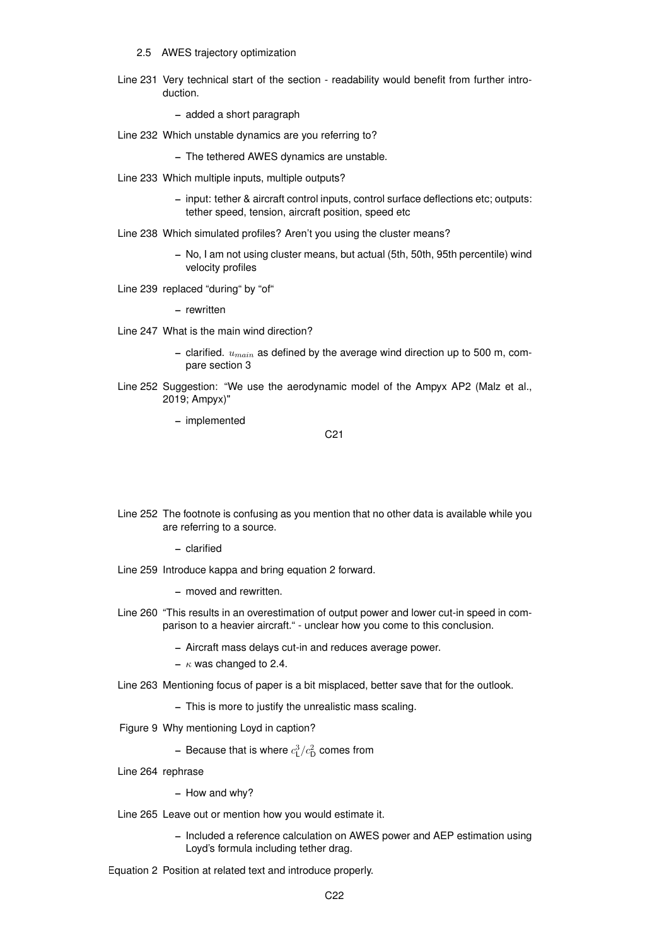#### 2.5 AWES trajectory optimization

Line 231 Very technical start of the section - readability would benefit from further introduction.

– added a short paragraph

Line 232 Which unstable dynamics are you referring to?

– The tethered AWES dynamics are unstable.

- Line 233 Which multiple inputs, multiple outputs?
	- input: tether & aircraft control inputs, control surface deflections etc; outputs: tether speed, tension, aircraft position, speed etc
- Line 238 Which simulated profiles? Aren't you using the cluster means?
	- No, I am not using cluster means, but actual (5th, 50th, 95th percentile) wind velocity profiles
- Line 239 replaced "during" by "of"

– rewritten

- Line 247 What is the main wind direction?
	- clarified.  $u_{\text{main}}$  as defined by the average wind direction up to 500 m, compare section 3
- Line 252 Suggestion: "We use the aerodynamic model of the Ampyx AP2 (Malz et al., 2019; Ampyx)"

– implemented

C21

Line 252 The footnote is confusing as you mention that no other data is available while you are referring to a source.

– clarified

Line 259 Introduce kappa and bring equation 2 forward.

– moved and rewritten.

- Line 260 "This results in an overestimation of output power and lower cut-in speed in comparison to a heavier aircraft." - unclear how you come to this conclusion.
	- Aircraft mass delays cut-in and reduces average power.
	- $\kappa$  was changed to 2.4.
- Line 263 Mentioning focus of paper is a bit misplaced, better save that for the outlook.
	- This is more to justify the unrealistic mass scaling.
- Figure 9 Why mentioning Loyd in caption?
	- Because that is where  $c_{\mathsf{L}}^3/c_{\mathsf{D}}^2$  comes from
- Line 264 rephrase

– How and why?

- Line 265 Leave out or mention how you would estimate it.
	- Included a reference calculation on AWES power and AEP estimation using Loyd's formula including tether drag.
- Equation 2 Position at related text and introduce properly.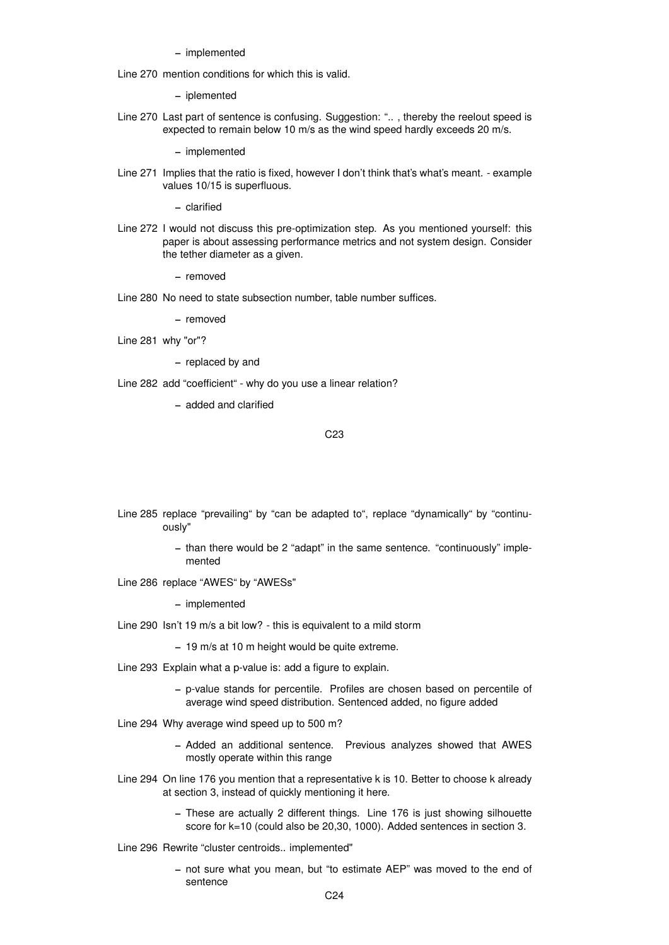Line 270 mention conditions for which this is valid.

– iplemented

Line 270 Last part of sentence is confusing. Suggestion: ".. , thereby the reelout speed is expected to remain below 10 m/s as the wind speed hardly exceeds 20 m/s.

– implemented

Line 271 Implies that the ratio is fixed, however I don't think that's what's meant. - example values 10/15 is superfluous.

– clarified

Line 272 I would not discuss this pre-optimization step. As you mentioned yourself: this paper is about assessing performance metrics and not system design. Consider the tether diameter as a given.

– removed

Line 280 No need to state subsection number, table number suffices.

– removed

Line 281 why "or"?

– replaced by and

Line 282 add "coefficient" - why do you use a linear relation?

– added and clarified

C23

- Line 285 replace "prevailing" by "can be adapted to", replace "dynamically" by "continuously"
	- than there would be 2 "adapt" in the same sentence. "continuously" implemented
- Line 286 replace "AWES" by "AWESs"

- Line 290 Isn't 19 m/s a bit low? this is equivalent to a mild storm
	- 19 m/s at 10 m height would be quite extreme.
- Line 293 Explain what a p-value is: add a figure to explain.
	- p-value stands for percentile. Profiles are chosen based on percentile of average wind speed distribution. Sentenced added, no figure added
- Line 294 Why average wind speed up to 500 m?
	- Added an additional sentence. Previous analyzes showed that AWES mostly operate within this range
- Line 294 On line 176 you mention that a representative k is 10. Better to choose k already at section 3, instead of quickly mentioning it here.
	- These are actually 2 different things. Line 176 is just showing silhouette score for k=10 (could also be 20,30, 1000). Added sentences in section 3.
- Line 296 Rewrite "cluster centroids.. implemented"
	- not sure what you mean, but "to estimate AEP" was moved to the end of sentence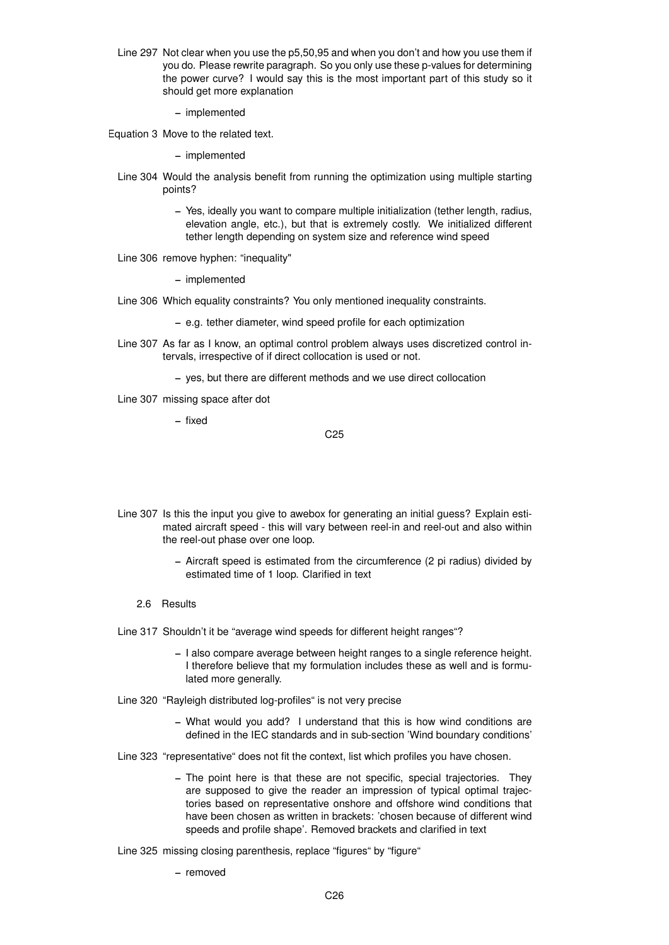Line 297 Not clear when you use the p5,50,95 and when you don't and how you use them if you do. Please rewrite paragraph. So you only use these p-values for determining the power curve? I would say this is the most important part of this study so it should get more explanation

– implemented

Equation 3 Move to the related text.

– implemented

- Line 304 Would the analysis benefit from running the optimization using multiple starting points?
	- Yes, ideally you want to compare multiple initialization (tether length, radius, elevation angle, etc.), but that is extremely costly. We initialized different tether length depending on system size and reference wind speed
- Line 306 remove hyphen: "inequality"

– implemented

- Line 306 Which equality constraints? You only mentioned inequality constraints.
	- e.g. tether diameter, wind speed profile for each optimization
- Line 307 As far as I know, an optimal control problem always uses discretized control intervals, irrespective of if direct collocation is used or not.
	- yes, but there are different methods and we use direct collocation
- Line 307 missing space after dot

– fixed

C25

- Line 307 Is this the input you give to awebox for generating an initial guess? Explain estimated aircraft speed - this will vary between reel-in and reel-out and also within the reel-out phase over one loop.
	- Aircraft speed is estimated from the circumference (2 pi radius) divided by estimated time of 1 loop. Clarified in text
	- 2.6 Results

Line 317 Shouldn't it be "average wind speeds for different height ranges"?

- I also compare average between height ranges to a single reference height. I therefore believe that my formulation includes these as well and is formulated more generally.
- Line 320 "Rayleigh distributed log-profiles" is not very precise
	- What would you add? I understand that this is how wind conditions are defined in the IEC standards and in sub-section 'Wind boundary conditions'
- Line 323 "representative" does not fit the context, list which profiles you have chosen.
	- The point here is that these are not specific, special trajectories. They are supposed to give the reader an impression of typical optimal trajectories based on representative onshore and offshore wind conditions that have been chosen as written in brackets: 'chosen because of different wind speeds and profile shape'. Removed brackets and clarified in text
- Line 325 missing closing parenthesis, replace "figures" by "figure"
	- removed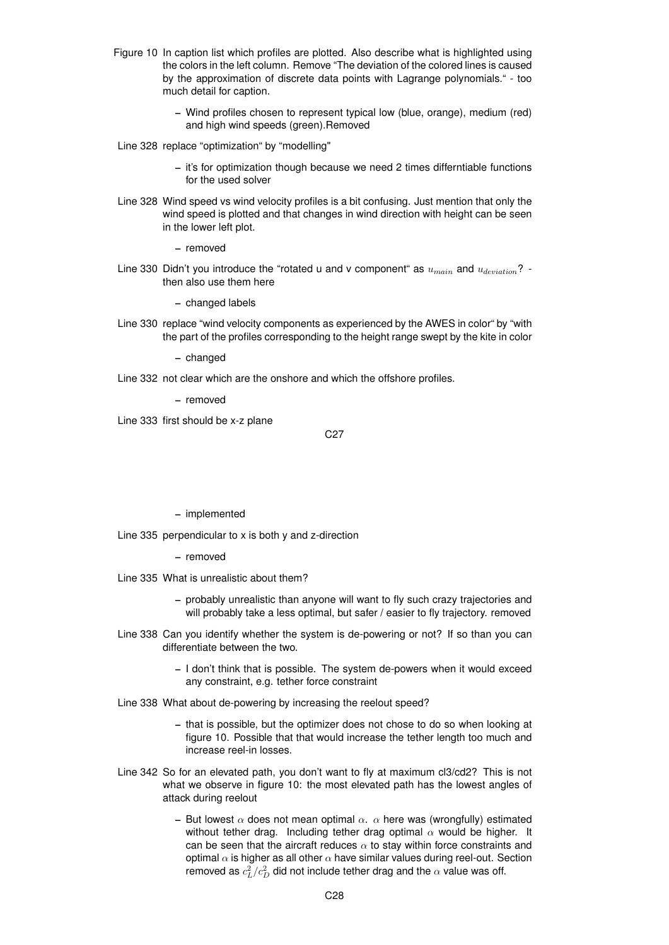- Figure 10 In caption list which profiles are plotted. Also describe what is highlighted using the colors in the left column. Remove "The deviation of the colored lines is caused by the approximation of discrete data points with Lagrange polynomials." - too much detail for caption.
	- Wind profiles chosen to represent typical low (blue, orange), medium (red) and high wind speeds (green).Removed
- Line 328 replace "optimization" by "modelling"
	- it's for optimization though because we need 2 times differntiable functions for the used solver
- Line 328 Wind speed vs wind velocity profiles is a bit confusing. Just mention that only the wind speed is plotted and that changes in wind direction with height can be seen in the lower left plot.

– removed

Line 330 Didn't you introduce the "rotated u and v component" as  $u_{main}$  and  $u_{deviation}$ ? then also use them here

– changed labels

Line 330 replace "wind velocity components as experienced by the AWES in color" by "with the part of the profiles corresponding to the height range swept by the kite in color

– changed

Line 332 not clear which are the onshore and which the offshore profiles.

– removed

Line 333 first should be x-z plane

#### C27

– implemented

Line 335 perpendicular to x is both y and z-direction

- removed
- Line 335 What is unrealistic about them?
	- probably unrealistic than anyone will want to fly such crazy trajectories and will probably take a less optimal, but safer / easier to fly trajectory. removed
- Line 338 Can you identify whether the system is de-powering or not? If so than you can differentiate between the two.
	- I don't think that is possible. The system de-powers when it would exceed any constraint, e.g. tether force constraint
- Line 338 What about de-powering by increasing the reelout speed?
	- that is possible, but the optimizer does not chose to do so when looking at figure 10. Possible that that would increase the tether length too much and increase reel-in losses.
- Line 342 So for an elevated path, you don't want to fly at maximum cl3/cd2? This is not what we observe in figure 10: the most elevated path has the lowest angles of attack during reelout
	- But lowest  $\alpha$  does not mean optimal  $\alpha$ .  $\alpha$  here was (wrongfully) estimated without tether drag. Including tether drag optimal  $\alpha$  would be higher. It can be seen that the aircraft reduces  $\alpha$  to stay within force constraints and optimal  $\alpha$  is higher as all other  $\alpha$  have similar values during reel-out. Section removed as  $c_L^2/c_D^2$  did not include tether drag and the  $\alpha$  value was off.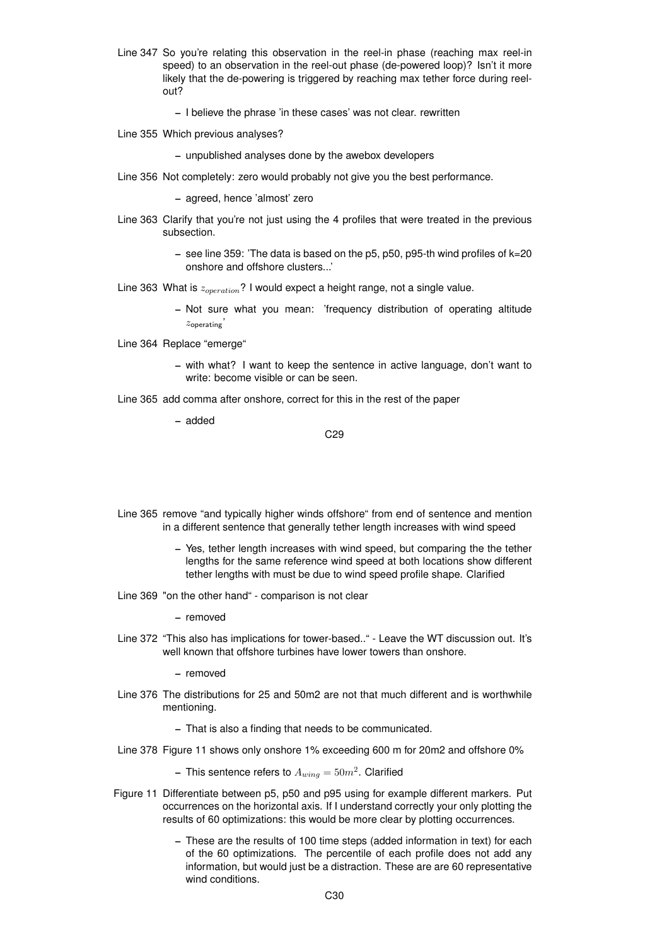- Line 347 So you're relating this observation in the reel-in phase (reaching max reel-in speed) to an observation in the reel-out phase (de-powered loop)? Isn't it more likely that the de-powering is triggered by reaching max tether force during reelout?
	- I believe the phrase 'in these cases' was not clear. rewritten
- Line 355 Which previous analyses?

– unpublished analyses done by the awebox developers

Line 356 Not completely: zero would probably not give you the best performance.

– agreed, hence 'almost' zero

- Line 363 Clarify that you're not just using the 4 profiles that were treated in the previous subsection.
	- $-$  see line 359: 'The data is based on the p5, p50, p95-th wind profiles of  $k=20$ onshore and offshore clusters...'

Line 363 What is  $z_{operation}$ ? I would expect a height range, not a single value.

– Not sure what you mean: 'frequency distribution of operating altitude  $z$ operating'

Line 364 Replace "emerge"

- with what? I want to keep the sentence in active language, don't want to write: become visible or can be seen.
- Line 365 add comma after onshore, correct for this in the rest of the paper

– added

C29

- Line 365 remove "and typically higher winds offshore" from end of sentence and mention in a different sentence that generally tether length increases with wind speed
	- Yes, tether length increases with wind speed, but comparing the the tether lengths for the same reference wind speed at both locations show different tether lengths with must be due to wind speed profile shape. Clarified
- Line 369 "on the other hand" comparison is not clear

– removed

Line 372 "This also has implications for tower-based.." - Leave the WT discussion out. It's well known that offshore turbines have lower towers than onshore.

– removed

Line 376 The distributions for 25 and 50m2 are not that much different and is worthwhile mentioning.

– That is also a finding that needs to be communicated.

Line 378 Figure 11 shows only onshore 1% exceeding 600 m for 20m2 and offshore 0%

– This sentence refers to  $A_{wing} = 50 m^2$ . Clarified

- Figure 11 Differentiate between p5, p50 and p95 using for example different markers. Put occurrences on the horizontal axis. If I understand correctly your only plotting the results of 60 optimizations: this would be more clear by plotting occurrences.
	- These are the results of 100 time steps (added information in text) for each of the 60 optimizations. The percentile of each profile does not add any information, but would just be a distraction. These are are 60 representative wind conditions.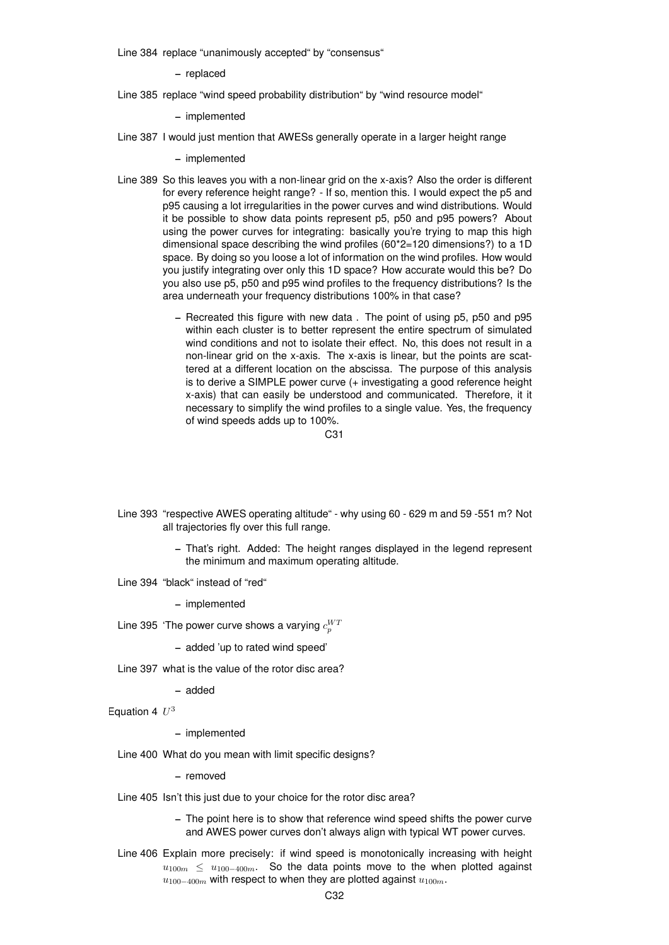Line 384 replace "unanimously accepted" by "consensus"

– replaced

Line 385 replace "wind speed probability distribution" by "wind resource model"

– implemented

Line 387 I would just mention that AWESs generally operate in a larger height range

– implemented

- Line 389 So this leaves you with a non-linear grid on the x-axis? Also the order is different for every reference height range? - If so, mention this. I would expect the p5 and p95 causing a lot irregularities in the power curves and wind distributions. Would it be possible to show data points represent p5, p50 and p95 powers? About using the power curves for integrating: basically you're trying to map this high dimensional space describing the wind profiles (60\*2=120 dimensions?) to a 1D space. By doing so you loose a lot of information on the wind profiles. How would you justify integrating over only this 1D space? How accurate would this be? Do you also use p5, p50 and p95 wind profiles to the frequency distributions? Is the area underneath your frequency distributions 100% in that case?
	- Recreated this figure with new data . The point of using p5, p50 and p95 within each cluster is to better represent the entire spectrum of simulated wind conditions and not to isolate their effect. No, this does not result in a non-linear grid on the x-axis. The x-axis is linear, but the points are scattered at a different location on the abscissa. The purpose of this analysis is to derive a SIMPLE power curve (+ investigating a good reference height x-axis) that can easily be understood and communicated. Therefore, it it necessary to simplify the wind profiles to a single value. Yes, the frequency of wind speeds adds up to 100%.

 $C<sub>31</sub>$ 

- Line 393 "respective AWES operating altitude" why using 60 629 m and 59 -551 m? Not all trajectories fly over this full range.
	- That's right. Added: The height ranges displayed in the legend represent the minimum and maximum operating altitude.
- Line 394 "black" instead of "red"

– implemented

Line 395 'The power curve shows a varying  $c_{p}^{WT}$ 

– added 'up to rated wind speed'

Line 397 what is the value of the rotor disc area?

– added

Equation 4  $U^3$ 

– implemented

Line 400 What do you mean with limit specific designs?

– removed

- Line 405 Isn't this just due to your choice for the rotor disc area?
	- The point here is to show that reference wind speed shifts the power curve and AWES power curves don't always align with typical WT power curves.
- Line 406 Explain more precisely: if wind speed is monotonically increasing with height  $u_{100m} \le u_{100-400m}$ . So the data points move to the when plotted against  $u_{100-400m}$  with respect to when they are plotted against  $u_{100m}$ .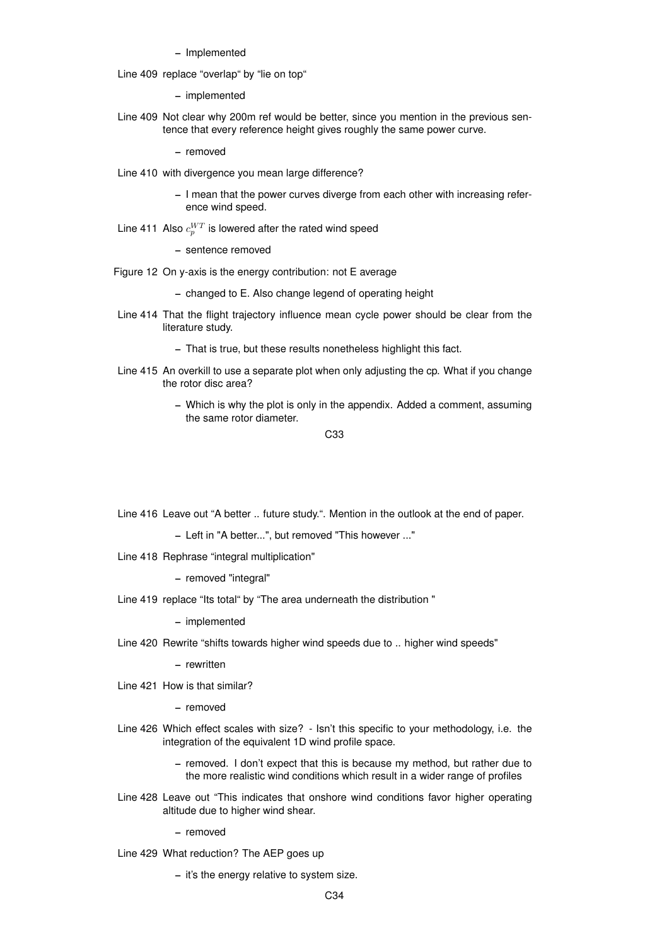Line 409 replace "overlap" by "lie on top"

– implemented

Line 409 Not clear why 200m ref would be better, since you mention in the previous sentence that every reference height gives roughly the same power curve.

– removed

- Line 410 with divergence you mean large difference?
	- I mean that the power curves diverge from each other with increasing reference wind speed.
- Line 411 Also  $c_{p}^{WT}$  is lowered after the rated wind speed

– sentence removed

- Figure 12 On y-axis is the energy contribution: not E average
	- changed to E. Also change legend of operating height
- Line 414 That the flight trajectory influence mean cycle power should be clear from the literature study.

– That is true, but these results nonetheless highlight this fact.

- Line 415 An overkill to use a separate plot when only adjusting the cp. What if you change the rotor disc area?
	- Which is why the plot is only in the appendix. Added a comment, assuming the same rotor diameter.

C33

Line 416 Leave out "A better .. future study.". Mention in the outlook at the end of paper.

– Left in "A better...", but removed "This however ..."

Line 418 Rephrase "integral multiplication"

– removed "integral"

Line 419 replace "Its total" by "The area underneath the distribution "

– implemented

Line 420 Rewrite "shifts towards higher wind speeds due to .. higher wind speeds"

– rewritten

Line 421 How is that similar?

– removed

Line 426 Which effect scales with size? - Isn't this specific to your methodology, i.e. the integration of the equivalent 1D wind profile space.

> – removed. I don't expect that this is because my method, but rather due to the more realistic wind conditions which result in a wider range of profiles

Line 428 Leave out "This indicates that onshore wind conditions favor higher operating altitude due to higher wind shear.

– removed

Line 429 What reduction? The AEP goes up

– it's the energy relative to system size.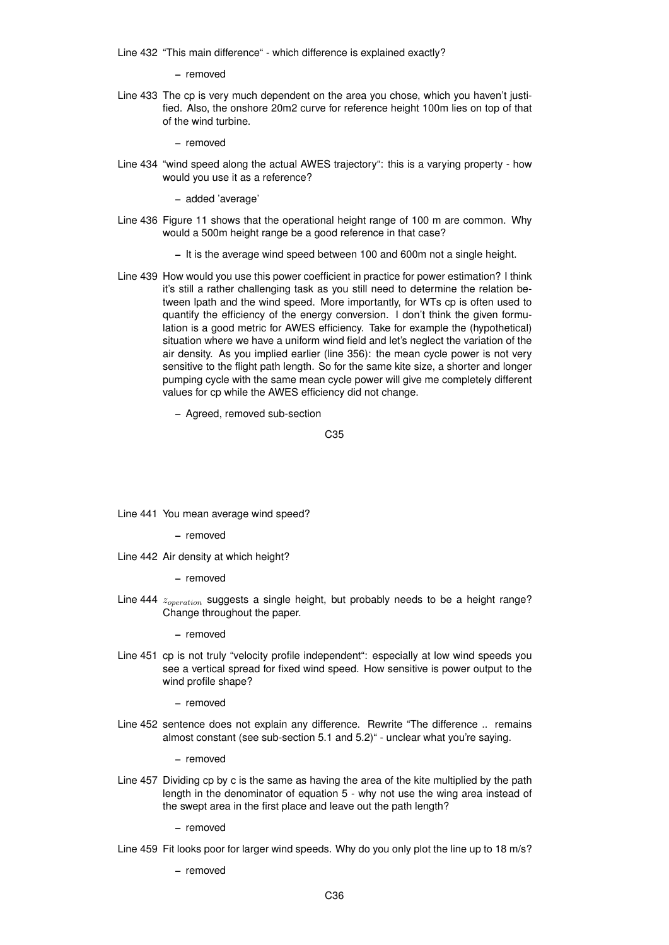Line 432 "This main difference" - which difference is explained exactly?

 $=$  removed

Line 433 The cp is very much dependent on the area you chose, which you haven't justified. Also, the onshore 20m2 curve for reference height 100m lies on top of that of the wind turbine.

– removed

Line 434 "wind speed along the actual AWES trajectory": this is a varying property - how would you use it as a reference?

– added 'average'

- Line 436 Figure 11 shows that the operational height range of 100 m are common. Why would a 500m height range be a good reference in that case?
	- It is the average wind speed between 100 and 600m not a single height.
- Line 439 How would you use this power coefficient in practice for power estimation? I think it's still a rather challenging task as you still need to determine the relation between lpath and the wind speed. More importantly, for WTs cp is often used to quantify the efficiency of the energy conversion. I don't think the given formulation is a good metric for AWES efficiency. Take for example the (hypothetical) situation where we have a uniform wind field and let's neglect the variation of the air density. As you implied earlier (line 356): the mean cycle power is not very sensitive to the flight path length. So for the same kite size, a shorter and longer pumping cycle with the same mean cycle power will give me completely different values for cp while the AWES efficiency did not change.
	- Agreed, removed sub-section

C35

Line 441 You mean average wind speed?

– removed

Line 442 Air density at which height?

– removed

Line 444  $z_{operation}$  suggests a single height, but probably needs to be a height range? Change throughout the paper.

– removed

Line 451 cp is not truly "velocity profile independent": especially at low wind speeds you see a vertical spread for fixed wind speed. How sensitive is power output to the wind profile shape?

– removed

Line 452 sentence does not explain any difference. Rewrite "The difference .. remains almost constant (see sub-section 5.1 and 5.2)" - unclear what you're saying.

– removed

Line 457 Dividing cp by c is the same as having the area of the kite multiplied by the path length in the denominator of equation 5 - why not use the wing area instead of the swept area in the first place and leave out the path length?

– removed

Line 459 Fit looks poor for larger wind speeds. Why do you only plot the line up to 18 m/s?

– removed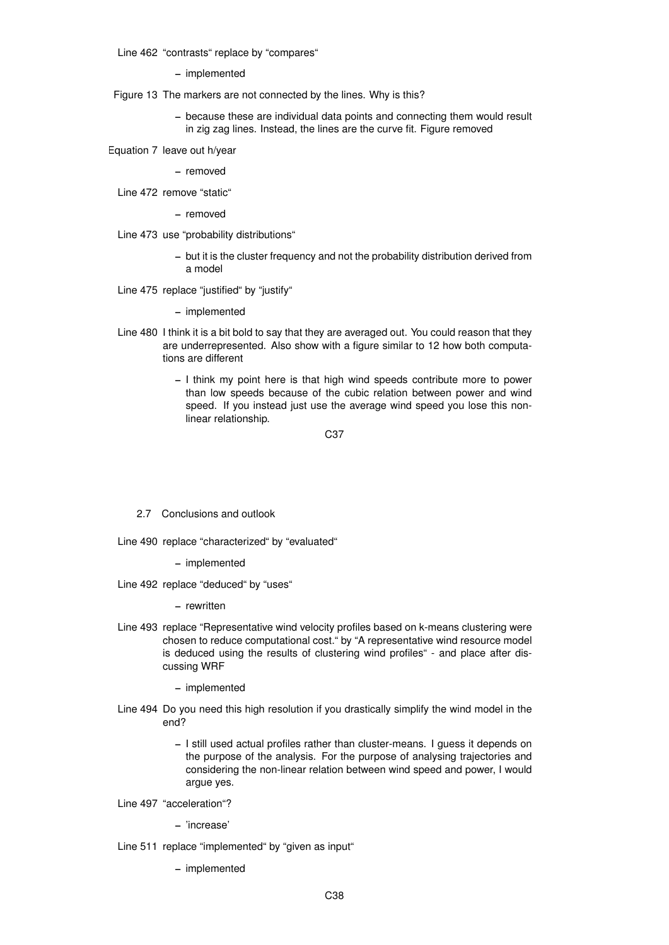Line 462 "contrasts" replace by "compares"

– implemented

Figure 13 The markers are not connected by the lines. Why is this?

- because these are individual data points and connecting them would result in zig zag lines. Instead, the lines are the curve fit. Figure removed
- Equation 7 leave out h/year

– removed

Line 472 remove "static"

– removed

- Line 473 use "probability distributions"
	- but it is the cluster frequency and not the probability distribution derived from a model
- Line 475 replace "justified" by "justify"
	- implemented
- Line 480 I think it is a bit bold to say that they are averaged out. You could reason that they are underrepresented. Also show with a figure similar to 12 how both computations are different
	- I think my point here is that high wind speeds contribute more to power than low speeds because of the cubic relation between power and wind speed. If you instead just use the average wind speed you lose this nonlinear relationship.

C37

- 2.7 Conclusions and outlook
- Line 490 replace "characterized" by "evaluated"
	- implemented
- Line 492 replace "deduced" by "uses"

– rewritten

- Line 493 replace "Representative wind velocity profiles based on k-means clustering were chosen to reduce computational cost." by "A representative wind resource model is deduced using the results of clustering wind profiles" - and place after discussing WRF
	- implemented
- Line 494 Do you need this high resolution if you drastically simplify the wind model in the end?
	- I still used actual profiles rather than cluster-means. I guess it depends on the purpose of the analysis. For the purpose of analysing trajectories and considering the non-linear relation between wind speed and power, I would argue yes.
- Line 497 "acceleration"?
	- 'increase'
- Line 511 replace "implemented" by "given as input"
	- implemented